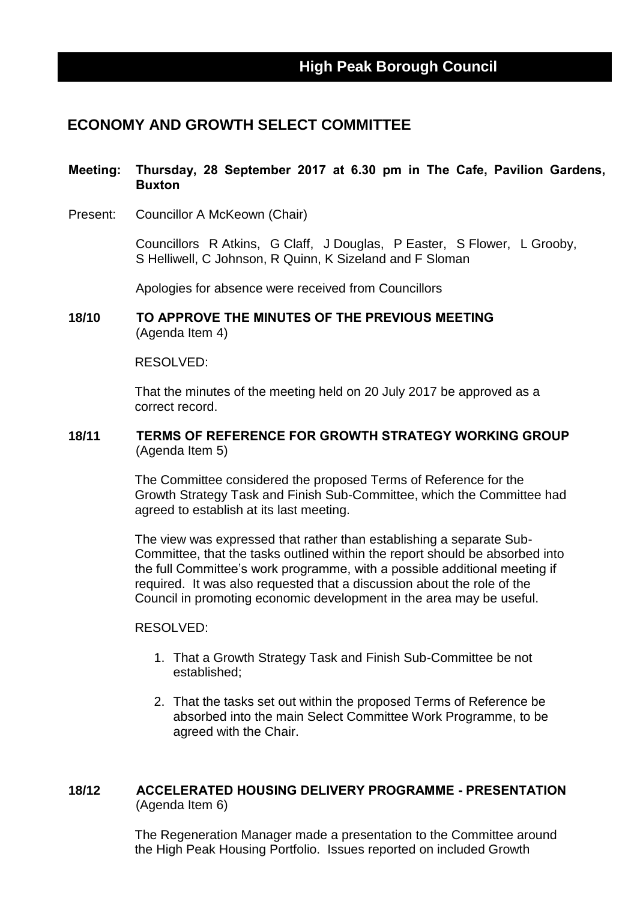# **ECONOMY AND GROWTH SELECT COMMITTEE**

### **Meeting: Thursday, 28 September 2017 at 6.30 pm in The Cafe, Pavilion Gardens, Buxton**

Present: Councillor A McKeown (Chair)

Councillors R Atkins, G Claff, J Douglas, P Easter, S Flower, L Grooby, S Helliwell, C Johnson, R Quinn, K Sizeland and F Sloman

Apologies for absence were received from Councillors

**18/10 TO APPROVE THE MINUTES OF THE PREVIOUS MEETING** (Agenda Item 4)

#### RESOLVED:

That the minutes of the meeting held on 20 July 2017 be approved as a correct record.

#### **18/11 TERMS OF REFERENCE FOR GROWTH STRATEGY WORKING GROUP** (Agenda Item 5)

The Committee considered the proposed Terms of Reference for the Growth Strategy Task and Finish Sub-Committee, which the Committee had agreed to establish at its last meeting.

The view was expressed that rather than establishing a separate Sub-Committee, that the tasks outlined within the report should be absorbed into the full Committee's work programme, with a possible additional meeting if required. It was also requested that a discussion about the role of the Council in promoting economic development in the area may be useful.

#### RESOLVED:

- 1. That a Growth Strategy Task and Finish Sub-Committee be not established;
- 2. That the tasks set out within the proposed Terms of Reference be absorbed into the main Select Committee Work Programme, to be agreed with the Chair.

### **18/12 ACCELERATED HOUSING DELIVERY PROGRAMME - PRESENTATION** (Agenda Item 6)

The Regeneration Manager made a presentation to the Committee around the High Peak Housing Portfolio. Issues reported on included Growth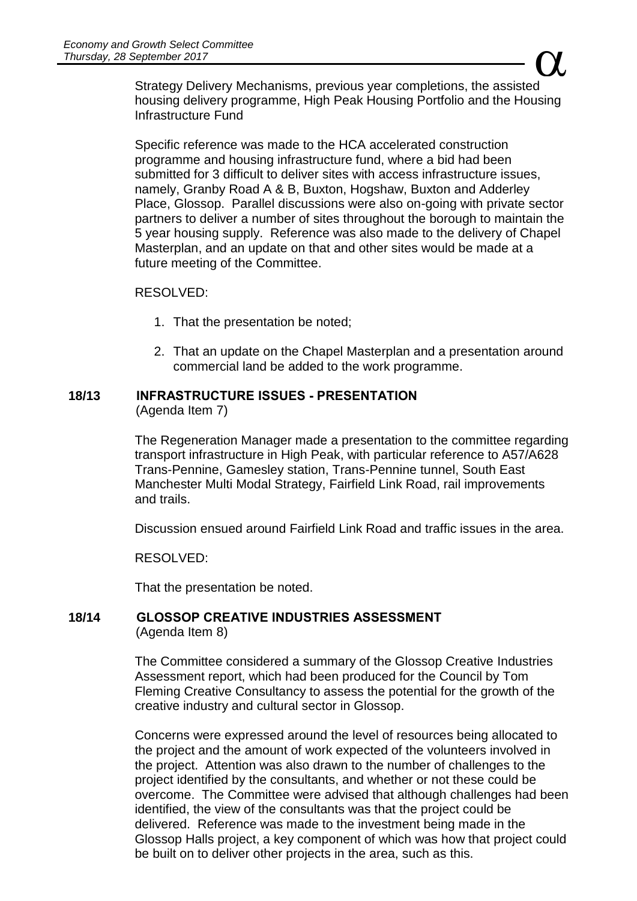$\alpha$ Strategy Delivery Mechanisms, previous year completions, the assisted housing delivery programme, High Peak Housing Portfolio and the Housing Infrastructure Fund

Specific reference was made to the HCA accelerated construction programme and housing infrastructure fund, where a bid had been submitted for 3 difficult to deliver sites with access infrastructure issues, namely, Granby Road A & B, Buxton, Hogshaw, Buxton and Adderley Place, Glossop. Parallel discussions were also on-going with private sector partners to deliver a number of sites throughout the borough to maintain the 5 year housing supply. Reference was also made to the delivery of Chapel Masterplan, and an update on that and other sites would be made at a future meeting of the Committee.

### RESOLVED:

- 1. That the presentation be noted;
- 2. That an update on the Chapel Masterplan and a presentation around commercial land be added to the work programme.

## **18/13 INFRASTRUCTURE ISSUES - PRESENTATION**

(Agenda Item 7)

The Regeneration Manager made a presentation to the committee regarding transport infrastructure in High Peak, with particular reference to A57/A628 Trans-Pennine, Gamesley station, Trans-Pennine tunnel, South East Manchester Multi Modal Strategy, Fairfield Link Road, rail improvements and trails.

Discussion ensued around Fairfield Link Road and traffic issues in the area.

RESOLVED:

That the presentation be noted.

### **18/14 GLOSSOP CREATIVE INDUSTRIES ASSESSMENT** (Agenda Item 8)

The Committee considered a summary of the Glossop Creative Industries Assessment report, which had been produced for the Council by Tom Fleming Creative Consultancy to assess the potential for the growth of the creative industry and cultural sector in Glossop.

Concerns were expressed around the level of resources being allocated to the project and the amount of work expected of the volunteers involved in the project. Attention was also drawn to the number of challenges to the project identified by the consultants, and whether or not these could be overcome. The Committee were advised that although challenges had been identified, the view of the consultants was that the project could be delivered. Reference was made to the investment being made in the Glossop Halls project, a key component of which was how that project could be built on to deliver other projects in the area, such as this.